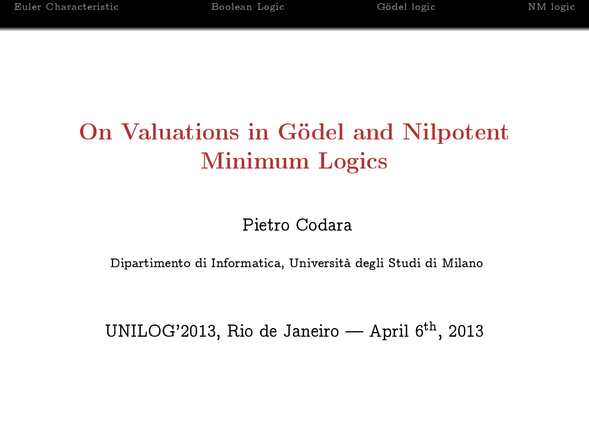# On Valuations in Gödel and Nilpotent Minimum Logics

## Pietro Codara

Dipartimento di Informatica, Università degli Studi di Milano

UNILOG'2013, Rio de Janeiro — April  $6<sup>th</sup>$ , 2013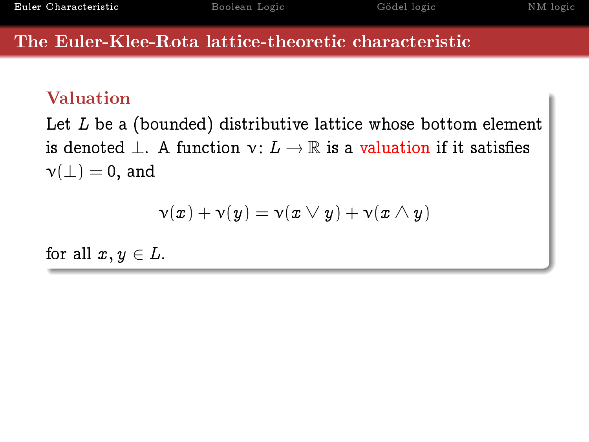## Valuation

Let  $L$  be a (bounded) distributive lattice whose bottom element is denoted  $\perp$ . A function  $\nu: L \to \mathbb{R}$  is a valuation if it satisfies  $\nu(\perp) = 0$ , and

$$
\mathsf{v}(x) + \mathsf{v}(y) = \mathsf{v}(x \vee y) + \mathsf{v}(x \wedge y)
$$

<span id="page-1-0"></span>for all  $x, y \in L$ .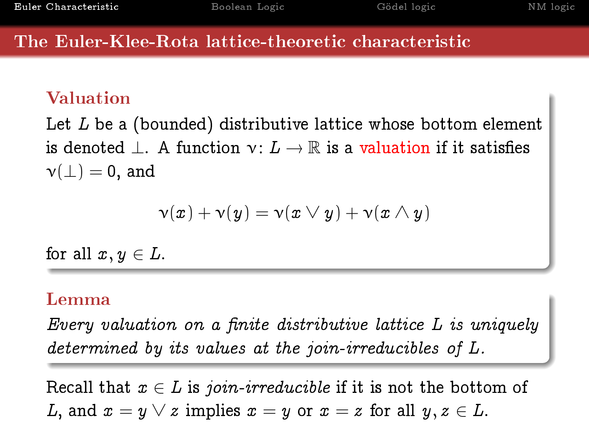### Valuation

Let  $L$  be a (bounded) distributive lattice whose bottom element is denoted  $\perp$ . A function  $\nu: L \to \mathbb{R}$  is a valuation if it satisfies  $\nu(\perp) = 0$ , and

$$
\mathsf{v}(x) + \mathsf{v}(y) = \mathsf{v}(x \vee y) + \mathsf{v}(x \wedge y)
$$

for all  $x, y \in L$ .

### Lemma

Every valuation on a finite distributive lattice  $L$  is uniquely determined by its values at the join-irreducibles of L.

Recall that  $x \in L$  is join-irreducible if it is not the bottom of L, and  $x = y \vee z$  implies  $x = y$  or  $x = z$  for all  $y, z \in L$ .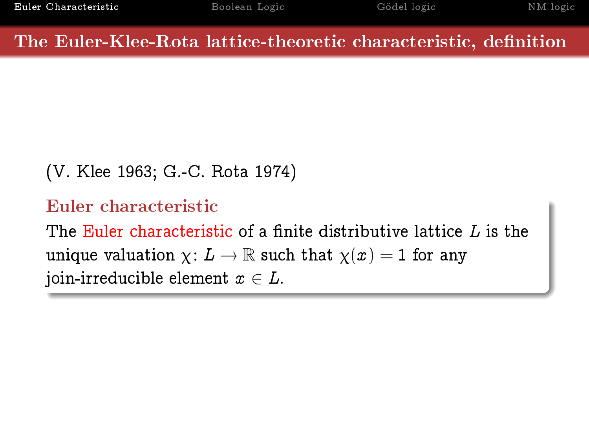### The Euler-Klee-Rota lattice-theoretic characteristic, definition

```
(V. Klee 1963; G.-C. Rota 1974)
```

```
Euler characteristic
```
The Euler characteristic of a finite distributive lattice  $L$  is the unique valuation  $\chi: L \to \mathbb{R}$  such that  $\chi(x) = 1$  for any join-irreducible element  $x \in L$ .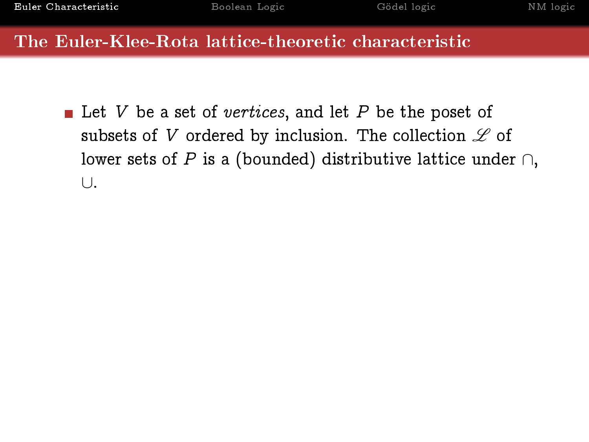Let V be a set of vertices, and let P be the poset of subsets of V ordered by inclusion. The collection  $\mathscr L$  of lower sets of P is a (bounded) distributive lattice under  $\cap$ , ∪.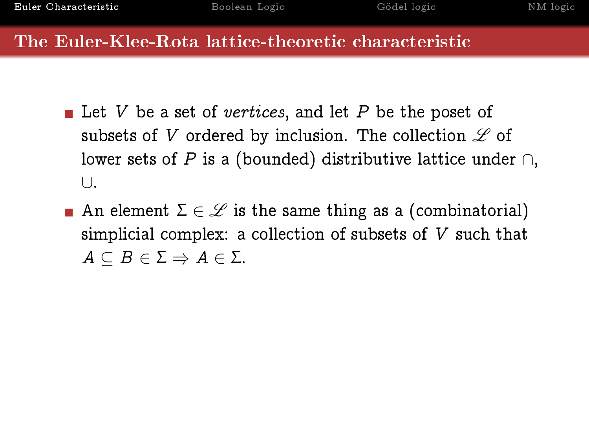- Let V be a set of vertices, and let P be the poset of subsets of V ordered by inclusion. The collection  $\mathscr L$  of lower sets of P is a (bounded) distributive lattice under  $\cap$ , ∪.
- **An** element  $\Sigma \in \mathcal{L}$  is the same thing as a (combinatorial) simplicial complex: a collection of subsets of V such that  $A \subseteq B \in \Sigma \Rightarrow A \in \Sigma$ .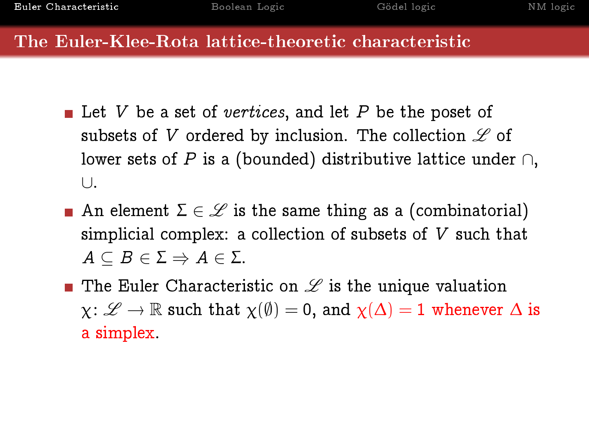- Let V be a set of vertices, and let P be the poset of subsets of V ordered by inclusion. The collection  $\mathscr L$  of lower sets of P is a (bounded) distributive lattice under  $\cap$ , ∪.
- **An** element  $\Sigma \in \mathcal{L}$  is the same thing as a (combinatorial) simplicial complex: a collection of subsets of V such that  $A \subseteq B \in \Sigma \Rightarrow A \in \Sigma$ .
- **The Euler Characteristic on**  $\mathscr L$  **is the unique valuation**  $\chi: \mathscr{L} \to \mathbb{R}$  such that  $\chi(\emptyset) = 0$ , and  $\chi(\Delta) = 1$  whenever  $\Delta$  is a simplex.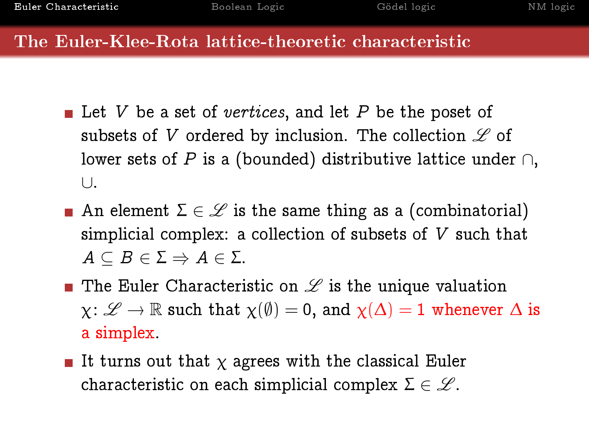- Let V be a set of vertices, and let P be the poset of subsets of V ordered by inclusion. The collection  $\mathscr L$  of lower sets of P is a (bounded) distributive lattice under  $\cap$ , ∪.
- **An** element  $\Sigma \in \mathcal{L}$  is the same thing as a (combinatorial) simplicial complex: a collection of subsets of V such that  $A \subseteq B \in \Sigma \Rightarrow A \in \Sigma$ .
- **The Euler Characteristic on**  $\mathscr L$  **is the unique valuation**  $\chi: \mathscr{L} \to \mathbb{R}$  such that  $\chi(\emptyset) = 0$ , and  $\chi(\Delta) = 1$  whenever  $\Delta$  is a simplex.
- It turns out that  $\chi$  agrees with the classical Euler characteristic on each simplicial complex  $\Sigma \in \mathscr{L}$ .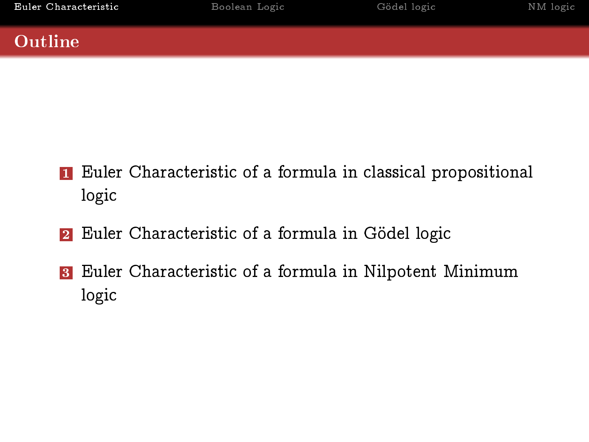## Outline

- **1** Euler Characteristic of a formula in classical propositional logic
- **2** Euler Characteristic of a formula in Gödel logic
- 3 Euler Characteristic of a formula in Nilpotent Minimum logic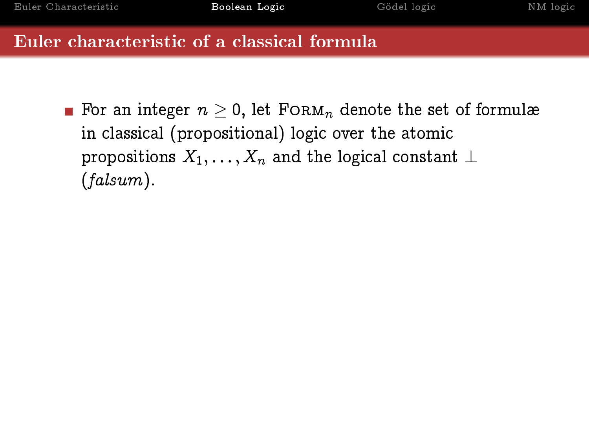<span id="page-9-0"></span>**For an integer**  $n > 0$ , let FORM<sub>n</sub> denote the set of formulæ in classical (propositional) logic over the atomic propositions  $X_1, \ldots, X_n$  and the logical constant  $\perp$ (falsum).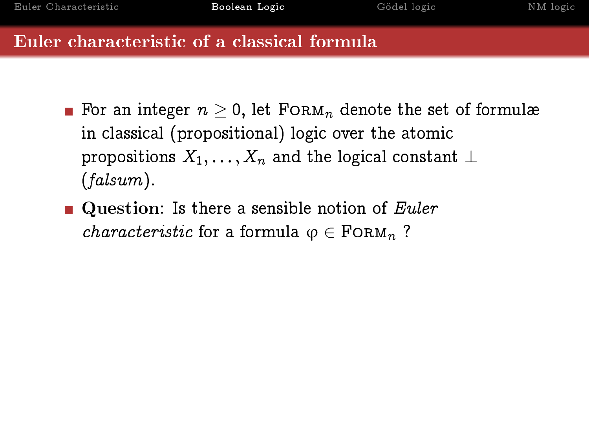- For an integer  $n \geq 0$ , let FORM<sub>n</sub> denote the set of formulæ in classical (propositional) logic over the atomic propositions  $X_1, \ldots, X_n$  and the logical constant  $\perp$ (falsum).
- **Question:** Is there a sensible notion of *Euler characteristic* for a formula  $\varphi \in \text{FoRM}_n$  ?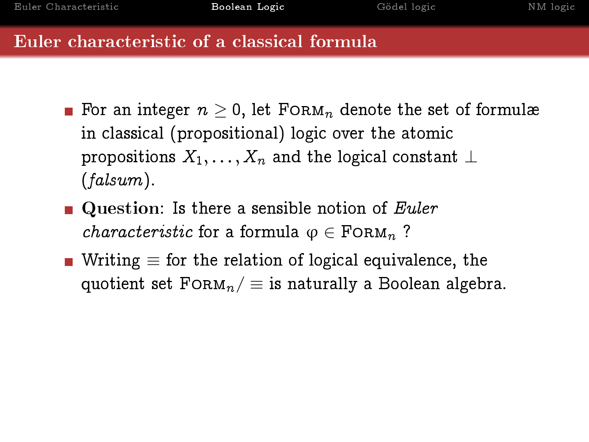- **For an integer**  $n > 0$ , let FORM<sub>n</sub> denote the set of formulæ in classical (propositional) logic over the atomic propositions  $X_1, \ldots, X_n$  and the logical constant  $\perp$ (falsum).
- **Question:** Is there a sensible notion of *Euler characteristic* for a formula  $\varphi \in \text{FoRM}_n$  ?
- Writing  $\equiv$  for the relation of logical equivalence, the quotient set  $FORM_n / \equiv$  is naturally a Boolean algebra.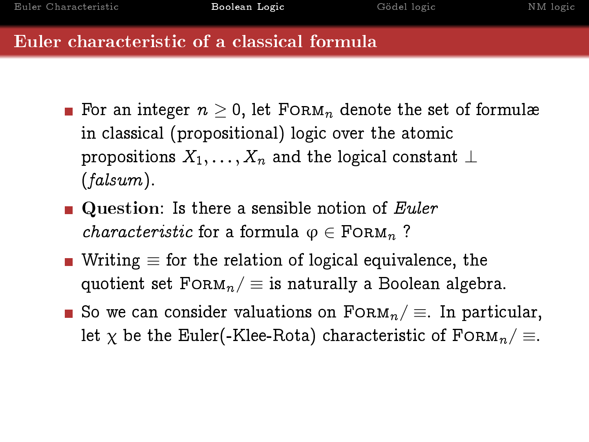- **For an integer**  $n > 0$ , let FORM<sub>n</sub> denote the set of formulæ in classical (propositional) logic over the atomic propositions  $X_1, \ldots, X_n$  and the logical constant  $\perp$ (falsum).
- **Question:** Is there a sensible notion of *Euler characteristic* for a formula  $\varphi \in \text{FoRM}_n$  ?
- Writing  $\equiv$  for the relation of logical equivalence, the quotient set  $FORM_n / \equiv$  is naturally a Boolean algebra.
- So we can consider valuations on  $F\circ RM_n/\equiv$ . In particular, let  $\chi$  be the Euler(-Klee-Rota) characteristic of FORM<sub>n</sub>/  $\equiv$ .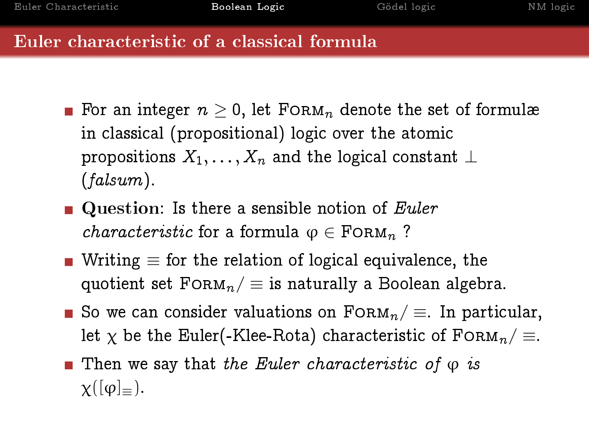- **For an integer**  $n > 0$ , let FORM<sub>n</sub> denote the set of formulæ in classical (propositional) logic over the atomic propositions  $X_1, \ldots, X_n$  and the logical constant  $\perp$ (falsum).
- **Question:** Is there a sensible notion of *Euler characteristic* for a formula  $\varphi \in \text{FoRM}_n$  ?
- Writing  $\equiv$  for the relation of logical equivalence, the quotient set  $FORM_n / \equiv$  is naturally a Boolean algebra.
- So we can consider valuations on  $F\circ RM_n/\equiv$ . In particular, let  $\chi$  be the Euler(-Klee-Rota) characteristic of FORM<sub>n</sub>/  $\equiv$ .
- **Then we say that the Euler characteristic of**  $\varphi$  **is**  $\chi([\varphi]_{=})$ .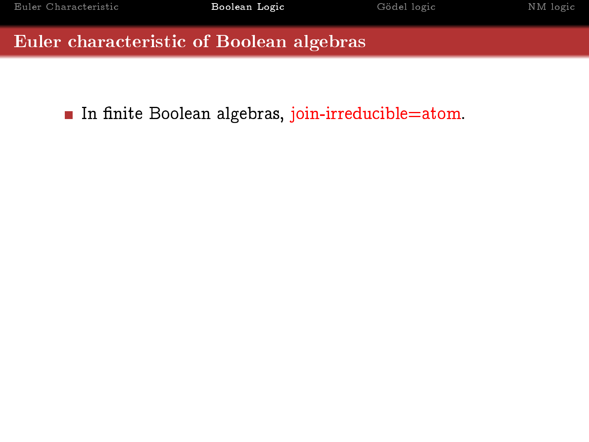In finite Boolean algebras, join-irreducible=atom.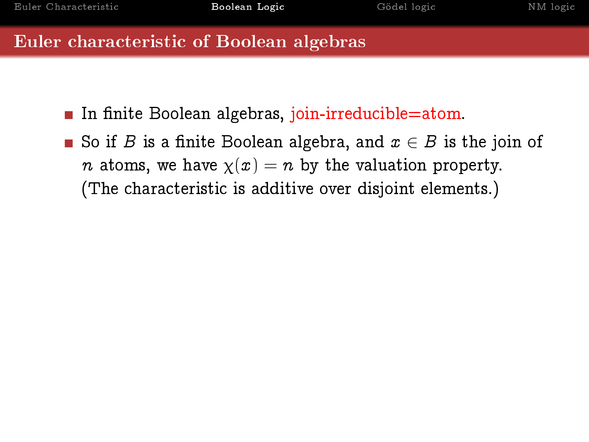- In finite Boolean algebras, join-irreducible=atom.
- So if B is a finite Boolean algebra, and  $x \in B$  is the join of *n* atoms, we have  $\chi(x) = n$  by the valuation property. (The characteristic is additive over disjoint elements.)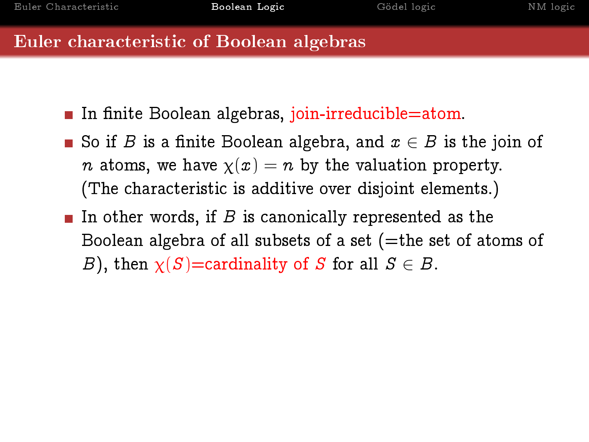- In finite Boolean algebras, join-irreducible=atom.
- So if B is a finite Boolean algebra, and  $x \in B$  is the join of *n* atoms, we have  $\chi(x) = n$  by the valuation property. (The characteristic is additive over disjoint elements.)
- In other words, if B is canonically represented as the Boolean algebra of all subsets of a set  $($ =the set of atoms of B), then  $\chi(S)$ =cardinality of S for all  $S \in B$ .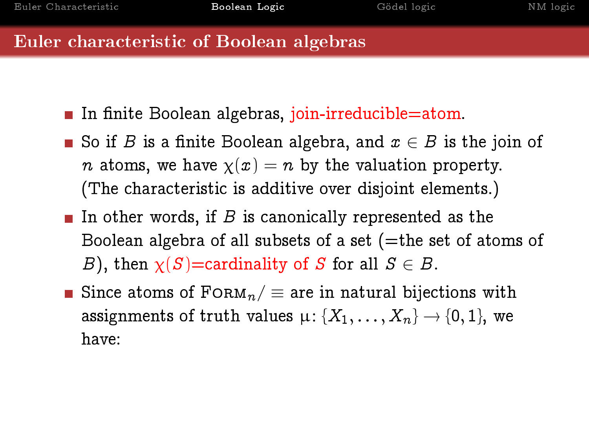- In finite Boolean algebras, join-irreducible=atom.
- So if B is a finite Boolean algebra, and  $x \in B$  is the join of *n* atoms, we have  $\chi(x) = n$  by the valuation property. (The characteristic is additive over disjoint elements.)
- In other words, if B is canonically represented as the Boolean algebra of all subsets of a set  $($ =the set of atoms of B), then  $\chi(S)$ =cardinality of S for all  $S \in B$ .
- Since atoms of  $FORM_n / \equiv$  are in natural bijections with assignments of truth values  $\mu$ : { $X_1, \ldots, X_n$ }  $\to$  {0, 1}, we have: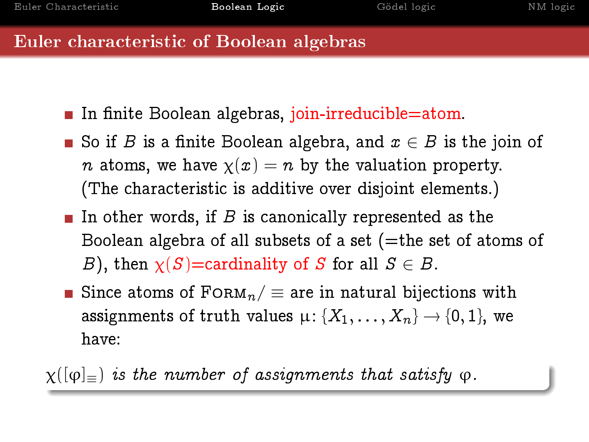- In finite Boolean algebras, join-irreducible=atom.
- So if B is a finite Boolean algebra, and  $x \in B$  is the join of *n* atoms, we have  $\chi(x) = n$  by the valuation property. (The characteristic is additive over disjoint elements.)
- In other words, if B is canonically represented as the Boolean algebra of all subsets of a set  $($ =the set of atoms of B), then  $\chi(S)$ =cardinality of S for all  $S \in B$ .
- Since atoms of  $FORM_n / \equiv$  are in natural bijections with assignments of truth values  $\mu$ : { $X_1, \ldots, X_n$ }  $\to$  {0, 1}, we have:

 $\chi([\varphi]_{=})$  is the number of assignments that satisfy  $\varphi$ .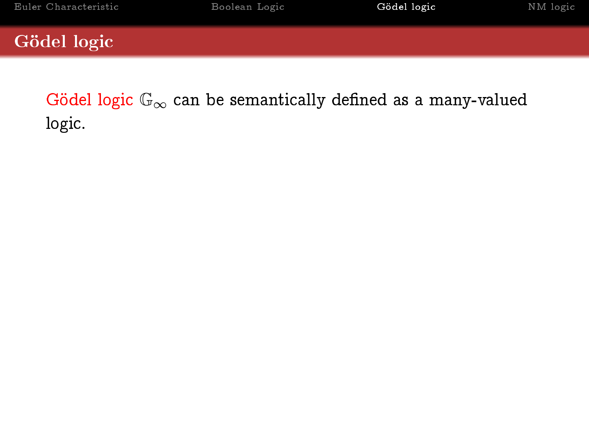<span id="page-19-0"></span>Gödel logic  $\mathbb{G}_{\infty}$  can be semantically defined as a many-valued logic.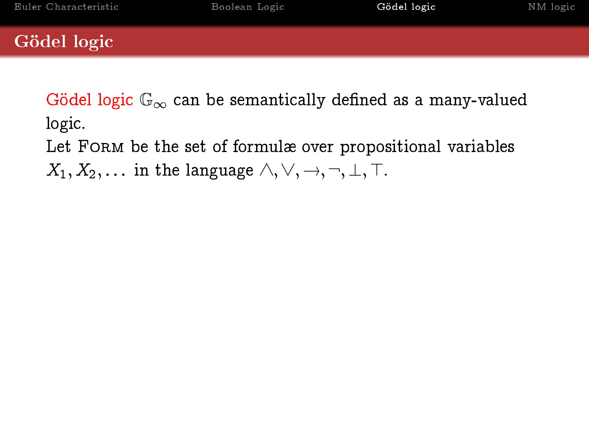Gödel logic  $\mathbb{G}_{\infty}$  can be semantically defined as a many-valued logic.

Let FORM be the set of formulæ over propositional variables

 $X_1, X_2, \ldots$  in the language  $\wedge, \vee, \rightarrow, \neg, \bot, \top$ .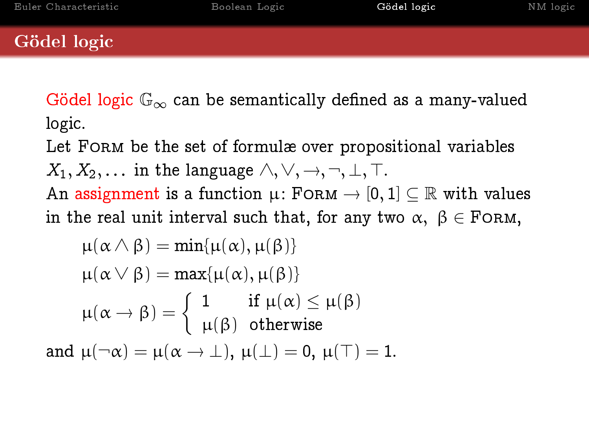Gödel logic  $\mathbb{G}_{\infty}$  can be semantically defined as a many-valued logic.

Let FORM be the set of formulæ over propositional variables  $X_1, X_2, \ldots$  in the language  $\wedge, \vee, \rightarrow, \neg, \perp, \top$ .

An assignment is a function  $\mu$ : FORM  $\rightarrow$  [0, 1]  $\subseteq \mathbb{R}$  with values in the real unit interval such that, for any two  $\alpha, \beta \in$  FORM,

$$
\mu(\alpha \wedge \beta) = \min{\mu(\alpha), \mu(\beta)}
$$

$$
\mu(\alpha \vee \beta) = \max{\mu(\alpha), \mu(\beta)}
$$

$$
\mu(\alpha \rightarrow \beta) = \begin{cases} 1 & \text{if } \mu(\alpha) \le \mu(\beta) \\ \mu(\beta) & \text{otherwise} \end{cases}
$$
and 
$$
\mu(\neg \alpha) = \mu(\alpha \rightarrow \bot), \mu(\bot) = 0, \mu(\top) = 1.
$$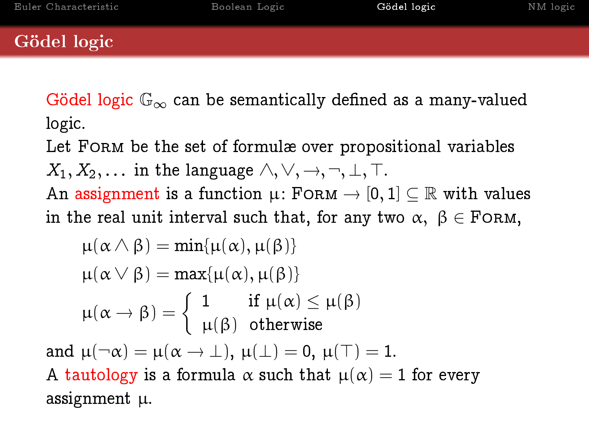Gödel logic  $\mathbb{G}_{\infty}$  can be semantically defined as a many-valued logic.

Let FORM be the set of formulæ over propositional variables  $X_1, X_2, \ldots$  in the language  $\wedge, \vee, \rightarrow, \neg, \perp, \top$ .

An assignment is a function  $\mu$ : FORM  $\rightarrow$  [0, 1]  $\subseteq \mathbb{R}$  with values in the real unit interval such that, for any two  $\alpha$ ,  $\beta \in$  FORM,

$$
\mu(\alpha \wedge \beta) = \min{\mu(\alpha), \mu(\beta)}
$$
  
\n
$$
\mu(\alpha \vee \beta) = \max{\mu(\alpha), \mu(\beta)}
$$
  
\n
$$
\mu(\alpha \rightarrow \beta) = \begin{cases} 1 & \text{if } \mu(\alpha) \le \mu(\beta) \\ \mu(\beta) & \text{otherwise} \end{cases}
$$
  
\nand 
$$
\mu(\neg \alpha) = \mu(\alpha \rightarrow \bot), \mu(\bot) = 0, \mu(\top) = 1.
$$
  
\nA tautology is a formula  $\alpha$  such that  $\mu(\alpha) = 1$  for every assignment  $\mu$ .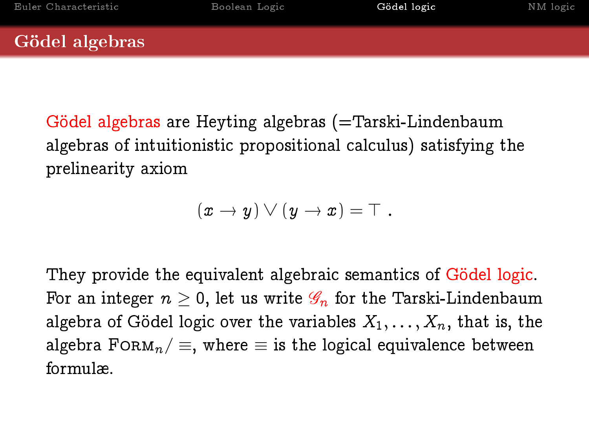### Gödel algebras

Gödel algebras are Heyting algebras (=Tarski-Lindenbaum algebras of intuitionistic propositional calculus) satisfying the prelinearity axiom

$$
(x \to y) \vee (y \to x) = \top.
$$

They provide the equivalent algebraic semantics of Gödel logic. For an integer  $n \geq 0$ , let us write  $\mathscr{G}_n$  for the Tarski-Lindenbaum algebra of Gödel logic over the variables  $X_1, \ldots, X_n$ , that is, the algebra FORM<sub>n</sub> /  $\equiv$ , where  $\equiv$  is the logical equivalence between formulæ.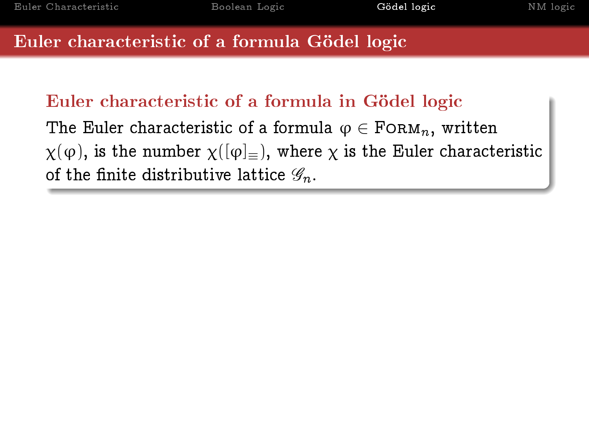## Euler characteristic of a formula in Gödel logic

The Euler characteristic of a formula  $\varphi \in \text{FoRM}_n$ , written  $\chi(\varphi)$ , is the number  $\chi([\varphi]_{\equiv})$ , where  $\chi$  is the Euler characteristic of the finite distributive lattice  $\mathscr{G}_n$ .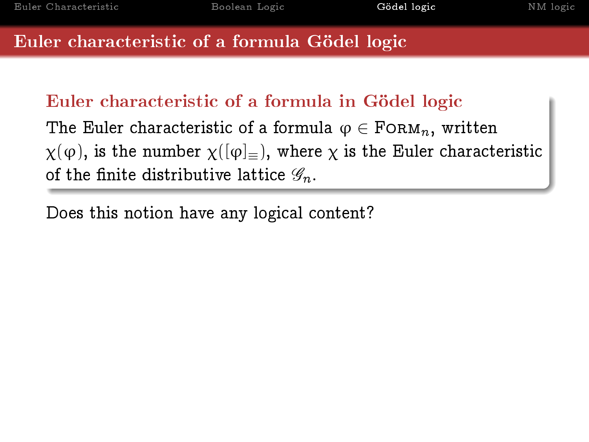## Euler characteristic of a formula in Gödel logic

The Euler characteristic of a formula  $\varphi \in \text{FoRM}_n$ , written  $\chi(\varphi)$ , is the number  $\chi([\varphi]_{\equiv})$ , where  $\chi$  is the Euler characteristic of the finite distributive lattice  $\mathscr{G}_n$ .

Does this notion have any logical content?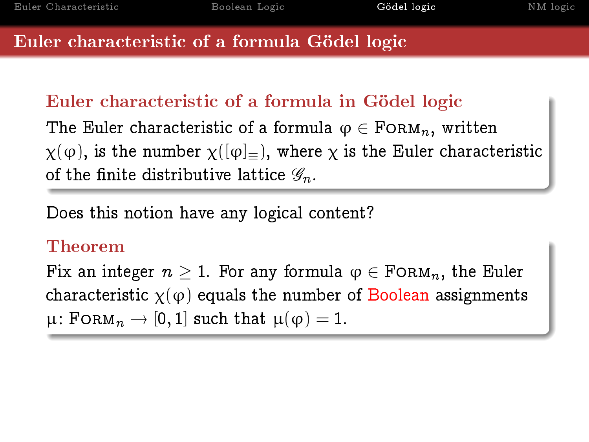## Euler characteristic of a formula in Gödel logic

The Euler characteristic of a formula  $\varphi \in \text{FoRM}_n$ , written  $\chi(\varphi)$ , is the number  $\chi([\varphi]_{=})$ , where  $\chi$  is the Euler characteristic of the finite distributive lattice  $\mathscr{G}_n$ .

Does this notion have any logical content?

### Theorem

Fix an integer  $n \geq 1$ . For any formula  $\varphi \in \text{FoRM}_n$ , the Euler characteristic  $\chi(\varphi)$  equals the number of Boolean assignments  $\mu$ : FORM $_n \to [0, 1]$  such that  $\mu(\varphi) = 1$ .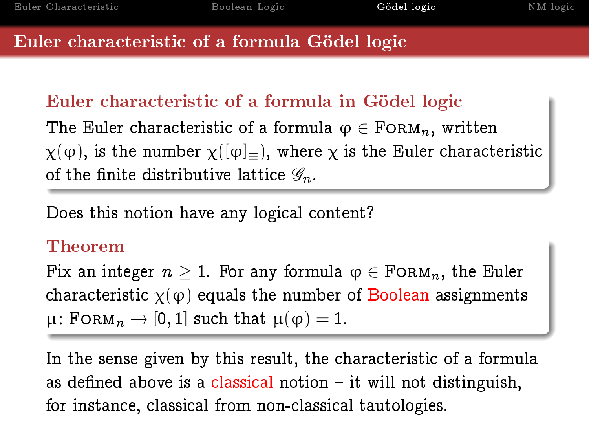## Euler characteristic of a formula in Gödel logic

The Euler characteristic of a formula  $\varphi \in \text{FoRM}_n$ , written  $\chi(\varphi)$ , is the number  $\chi([\varphi]_{=})$ , where  $\chi$  is the Euler characteristic of the finite distributive lattice  $\mathscr{G}_n$ .

Does this notion have any logical content?

### Theorem

Fix an integer  $n > 1$ . For any formula  $\varphi \in \text{FoRM}_n$ , the Euler characteristic  $\chi(\varphi)$  equals the number of Boolean assignments  $\mu$ : FORM $_n \to [0, 1]$  such that  $\mu(\varphi) = 1$ .

In the sense given by this result, the characteristic of a formula as defined above is a classical notion  $-$  it will not distinguish, for instance, classical from non-classical tautologies.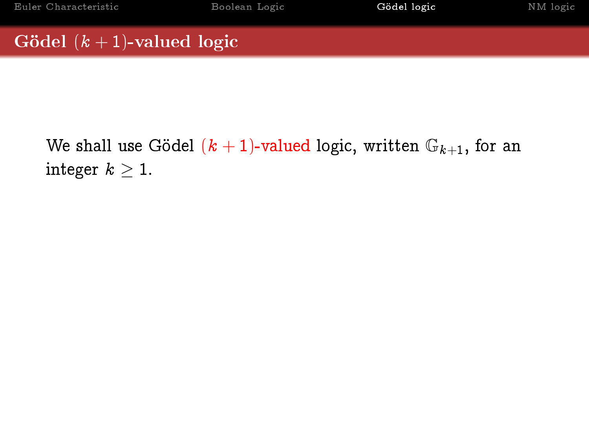## Gödel  $(k + 1)$ -valued logic

We shall use Gödel  $(k + 1)$ -valued logic, written  $\mathbb{G}_{k+1}$ , for an integer  $k \geq 1$ .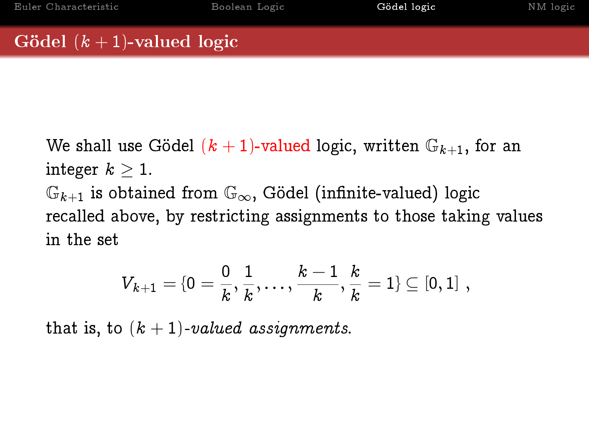## Gödel  $(k + 1)$ -valued logic

We shall use Gödel  $(k + 1)$ -valued logic, written  $\mathbb{G}_{k+1}$ , for an integer  $k \geq 1$ .  $\mathbb{G}_{k+1}$  is obtained from  $\mathbb{G}_{\infty}$ , Gödel (infinite-valued) logic recalled above, by restricting assignments to those taking values in the set

$$
V_{k+1} = \{0 = \frac{0}{k}, \frac{1}{k}, \ldots, \frac{k-1}{k}, \frac{k}{k} = 1\} \subseteq [0,1] \; ,
$$

that is, to  $(k + 1)$ -valued assignments.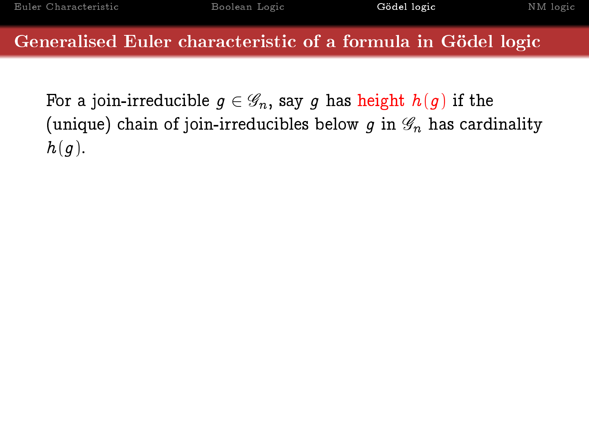Generalised Euler characteristic of a formula in Gödel logic

For a join-irreducible  $q \in \mathscr{G}_n$ , say g has height  $h(q)$  if the (unique) chain of join-irreducibles below q in  $\mathscr{G}_n$  has cardinality  $h(q)$ .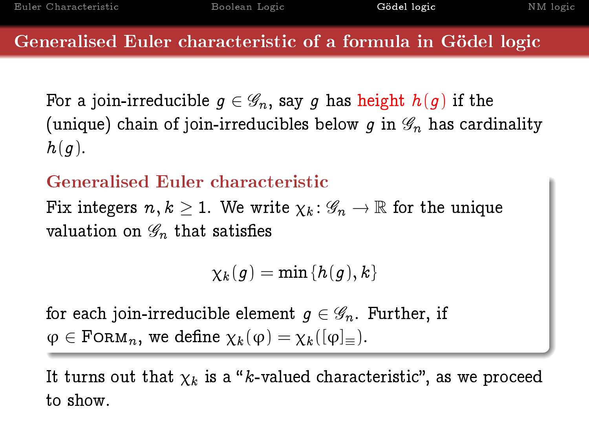### Generalised Euler characteristic of a formula in Gödel logic

For a join-irreducible  $q \in \mathscr{G}_n$ , say q has height  $h(q)$  if the (unique) chain of join-irreducibles below q in  $\mathscr{G}_n$  has cardinality  $h(q)$ .

## Generalised Euler characteristic

Fix integers  $n, k > 1$ . We write  $\chi_k : \mathscr{G}_n \to \mathbb{R}$  for the unique valuation on  $\mathscr{G}_n$  that satisfies

 $\chi_k(q) = \min\{h(q),k\}$ 

for each join-irreducible element  $q \in \mathscr{G}_n$ . Further, if  $\varphi \in \text{FoRM}_n$ , we define  $\chi_k(\varphi) = \chi_k([\varphi]_{\equiv}).$ 

It turns out that  $\chi_k$  is a "k-valued characteristic", as we proceed to show.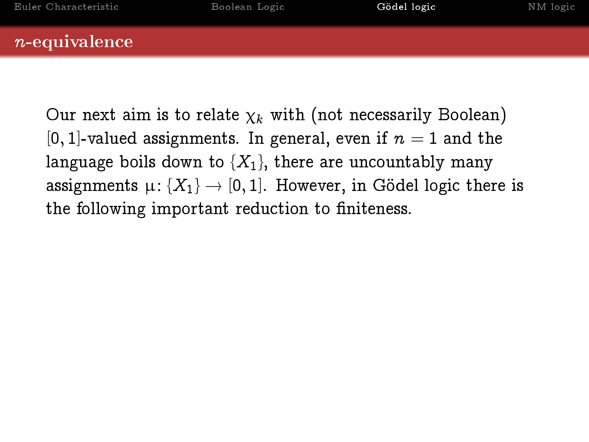### n-equivalence

Our next aim is to relate  $\chi_k$  with (not necessarily Boolean) [0, 1]-valued assignments. In general, even if  $n = 1$  and the language boils down to  $\{X_1\}$ , there are uncountably many assignments  $\mu: \{X_1\} \to [0, 1]$ . However, in Gödel logic there is the following important reduction to finiteness.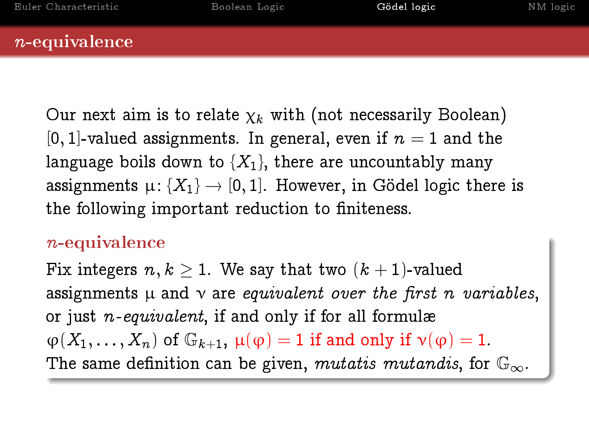### n-equivalence

Our next aim is to relate  $\chi_k$  with (not necessarily Boolean) [0, 1]-valued assignments. In general, even if  $n = 1$  and the language boils down to  $\{X_1\}$ , there are uncountably many assignments  $\mu: \{X_1\} \to [0, 1]$ . However, in Gödel logic there is the following important reduction to finiteness.

## n-equivalence

Fix integers  $n, k > 1$ . We say that two  $(k + 1)$ -valued assignments  $\mu$  and  $\nu$  are equivalent over the first n variables, or just n-equivalent, if and only if for all formulæ  $\varphi(X_1,\ldots,X_n)$  of  $\mathbb{G}_{k+1}$ ,  $\mu(\varphi)=1$  if and only if  $\nu(\varphi)=1$ . The same definition can be given, mutatis mutandis, for  $\mathbb{G}_{\infty}$ .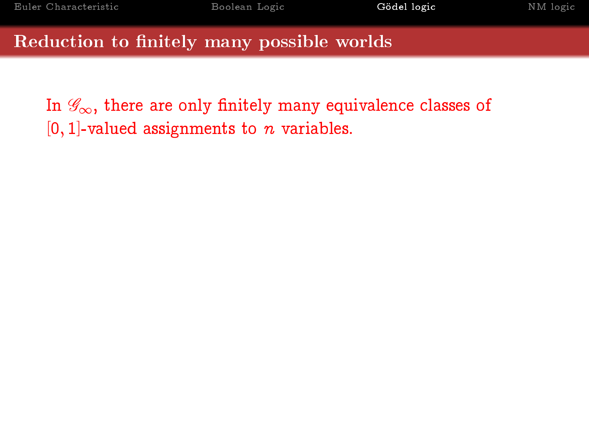### Reduction to finitely many possible worlds

In  $\mathscr{G}_{\infty}$ , there are only finitely many equivalence classes of  $[0, 1]$ -valued assignments to *n* variables.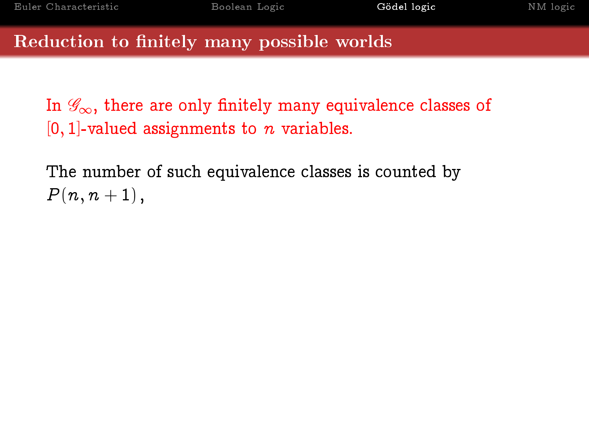#### Reduction to finitely many possible worlds

In  $\mathscr{G}_{\infty}$ , there are only finitely many equivalence classes of  $[0, 1]$ -valued assignments to n variables.

The number of such equivalence classes is counted by  $P(n, n + 1)$ ,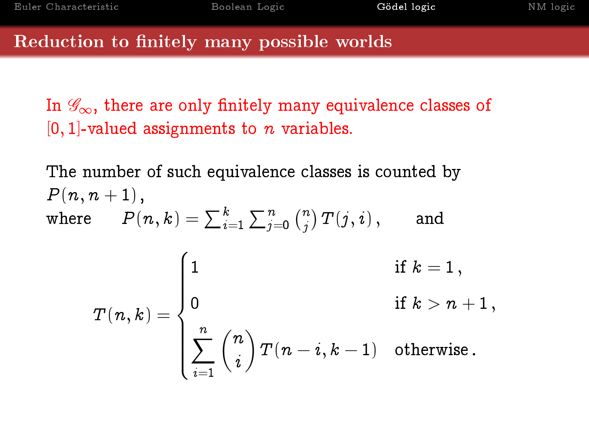#### Reduction to finitely many possible worlds

In  $\mathscr{G}_{\infty}$ , there are only finitely many equivalence classes of  $[0, 1]$ -valued assignments to n variables.

The number of such equivalence classes is counted by  $P(n, n + 1)$ , where  $P(n,k)=\sum_{i=1}^k\sum_{j=0}^n\binom{n}{j}$  $\binom{n}{j}\,T\!\left(j,i\right),\qquad \text{and}$  $T(n, k) =$  $\sqrt{ }$  $\int$  $\overline{\mathcal{L}}$ 1 if  $k = 1$ ,  $\hspace{.15cm} 0 \hspace{3cm} \text{if} \hspace{.1cm} k > n+1 \, ,$  $\sum_{n=1}^{\infty}$  $\frac{i=1}{}$  $\sqrt{n}$ i  $\Big) \, T(n-i,k-1) \quad \hbox{otherwise} \, .$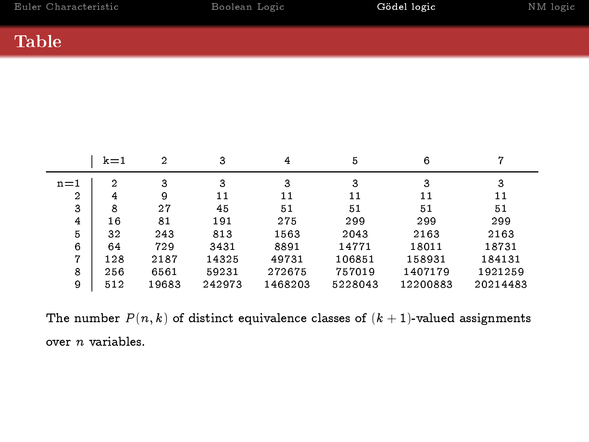## Table

|         | $k=1$          | $\overline{2}$ | 3      | 4       | 5       | 6        |          |
|---------|----------------|----------------|--------|---------|---------|----------|----------|
| $n = 1$ | $\overline{2}$ | 3              | 3      | 3       | 3       | 3        | 3        |
| 2       | 4              | 9              | 11     | 11      | 11      | 11       | 11       |
| 3       | 8              | 27             | 45     | 51      | 51      | 51       | 51       |
| 4       | 16             | 81             | 191    | 275     | 299     | 299      | 299      |
| 5       | 32             | 243            | 813    | 1563    | 2043    | 2163     | 2163     |
| 6       | 64             | 729            | 3431   | 8891    | 14771   | 18011    | 18731    |
| 7       | 128            | 2187           | 14325  | 49731   | 106851  | 158931   | 184131   |
| 8       | 256            | 6561           | 59231  | 272675  | 757019  | 1407179  | 1921259  |
| 9       | 512            | 19683          | 242973 | 1468203 | 5228043 | 12200883 | 20214483 |

The number  $P(n, k)$  of distinct equivalence classes of  $(k + 1)$ -valued assignments over n variables.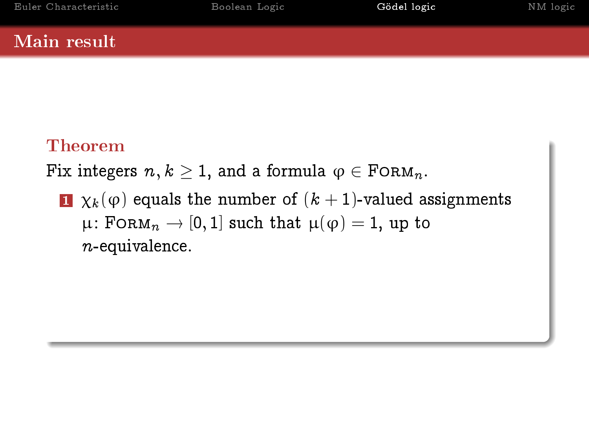## Theorem

Fix integers  $n, k \geq 1$ , and a formula  $\varphi \in \text{FoRM}_n$ .

1  $\chi_k(\varphi)$  equals the number of  $(k+1)$ -valued assignments  $\mu$ : FORM<sub>n</sub>  $\rightarrow$  [0, 1] such that  $\mu(\varphi) = 1$ , up to n-equivalence.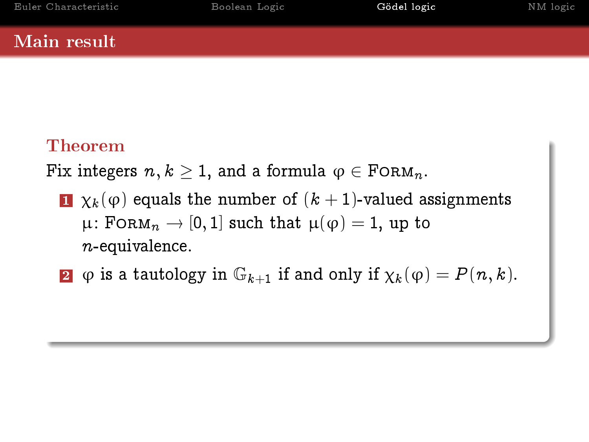## Theorem

Fix integers  $n, k \geq 1$ , and a formula  $\varphi \in \text{FoRM}_n$ .

- 1  $\chi_k(\varphi)$  equals the number of  $(k+1)$ -valued assignments  $\mu$ : FORM<sub>n</sub>  $\rightarrow$  [0, 1] such that  $\mu(\varphi) = 1$ , up to  $n$ -equivalence.
- 2  $\varphi$  is a tautology in  $\mathbb{G}_{k+1}$  if and only if  $\chi_k(\varphi) = P(n, k)$ .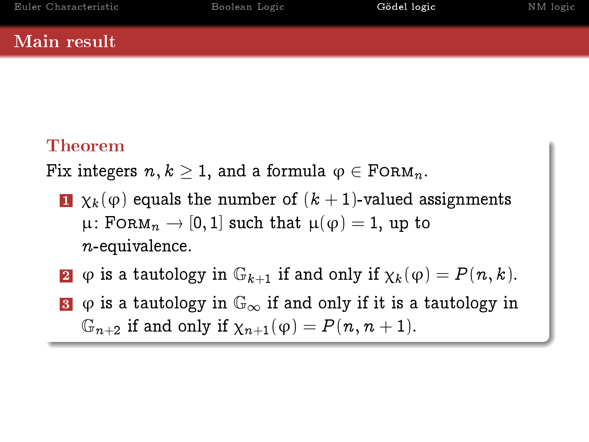## Theorem

Fix integers  $n, k \geq 1$ , and a formula  $\varphi \in \text{FoRM}_n$ .

- 1  $\chi_k(\varphi)$  equals the number of  $(k+1)$ -valued assignments  $\mu$ : FORM<sub>n</sub>  $\rightarrow$  [0, 1] such that  $\mu(\varphi) = 1$ , up to n-equivalence.
- 2  $\varphi$  is a tautology in  $\mathbb{G}_{k+1}$  if and only if  $\chi_k(\varphi) = P(n, k)$ .
- 3  $\phi$  is a tautology in  $\mathbb{G}_{\infty}$  if and only if it is a tautology in  $\mathbb{G}_{n+2}$  if and only if  $\chi_{n+1}(\varphi) = P(n, n+1)$ .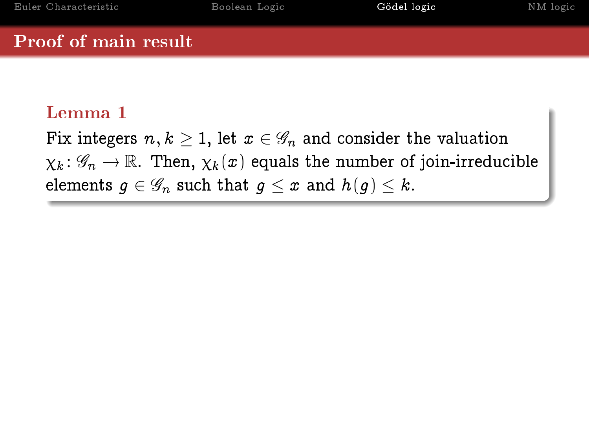## Proof of main result

## Lemma 1

Fix integers  $n, k \geq 1$ , let  $x \in \mathscr{G}_n$  and consider the valuation  $\chi_k: \mathscr{G}_n \to \mathbb{R}$ . Then,  $\chi_k(x)$  equals the number of join-irreducible elements  $q \in \mathscr{G}_n$  such that  $q \leq x$  and  $h(q) \leq k$ .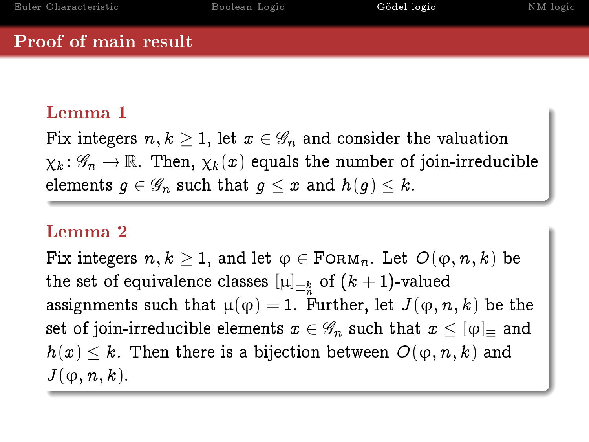## Proof of main result

## Lemma 1

Fix integers  $n, k \geq 1$ , let  $x \in \mathscr{G}_n$  and consider the valuation  $\chi_k: \mathscr{G}_n \to \mathbb{R}$ . Then,  $\chi_k(x)$  equals the number of join-irreducible elements  $q \in \mathscr{G}_n$  such that  $q \leq x$  and  $h(q) \leq k$ .

## Lemma 2

Fix integers  $n, k \geq 1$ , and let  $\varphi \in \text{FoRM}_n$ . Let  $O(\varphi, n, k)$  be the set of equivalence classes  $\left[\mu\right]_{\equiv_k^k}$  of  $(k+1)$ -valued assignments such that  $\mu(\varphi) = 1$ . Further, let  $J(\varphi, n, k)$  be the set of join-irreducible elements  $x \in \mathscr{G}_n$  such that  $x \leq [\varphi]$  and  $h(x) \leq k$ . Then there is a bijection between  $O(\varphi, n, k)$  and  $J(\varphi, n, k)$ .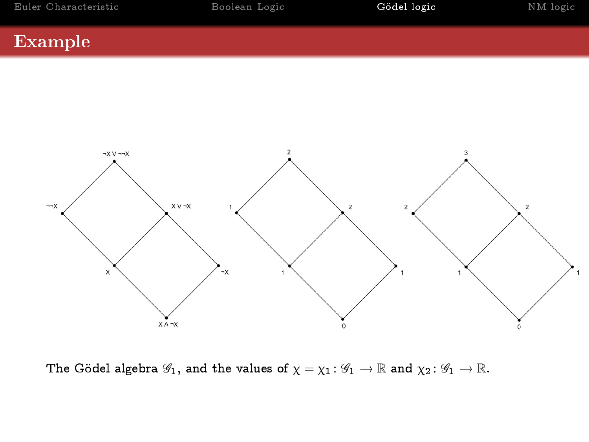### Example



The Gödel algebra  $\mathscr{G}_1$ , and the values of  $\chi = \chi_1 : \mathscr{G}_1 \to \mathbb{R}$  and  $\chi_2 : \mathscr{G}_1 \to \mathbb{R}$ .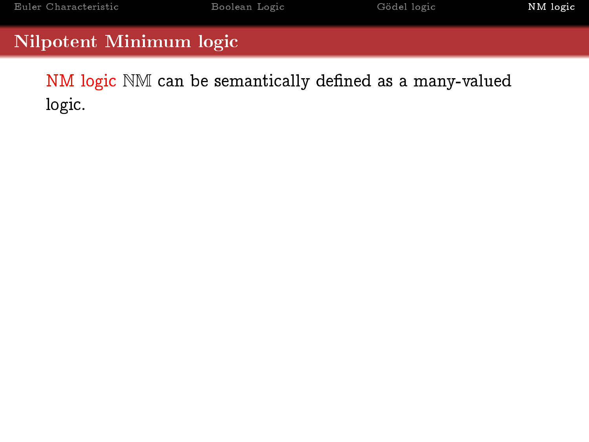<span id="page-44-0"></span>NM logic NM can be semantically defined as a many-valued logic.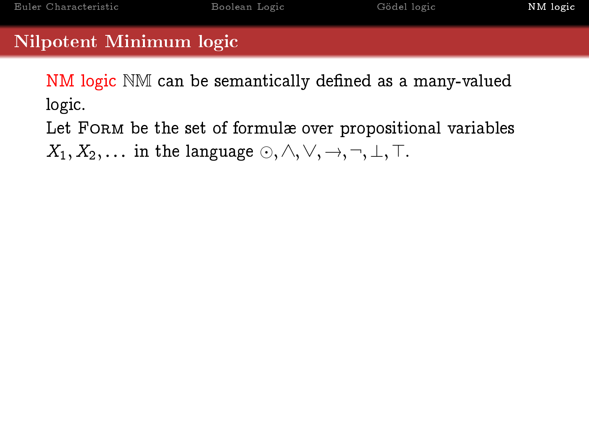NM logic NM can be semantically defined as a many-valued logic.

Let FORM be the set of formulæ over propositional variables  $X_1, X_2, \ldots$  in the language  $\odot, \wedge, \vee, \rightarrow, \neg, \perp, \top$ .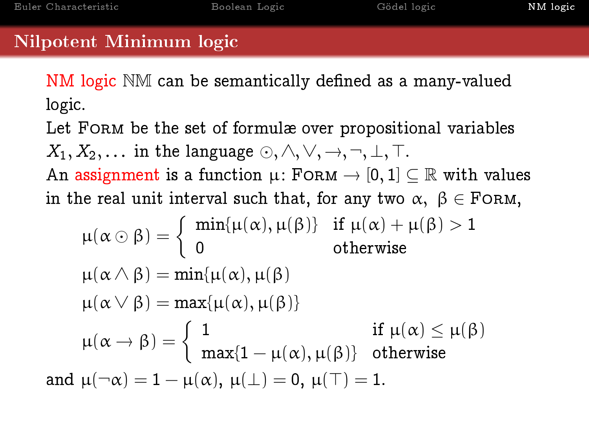NM logic NM can be semantically defined as a many-valued logic.

Let FORM be the set of formulæ over propositional variables  $X_1, X_2, \ldots$  in the language  $\odot, \wedge, \vee, \rightarrow, \neg, \perp, \top$ . An assignment is a function  $\mu$ : FORM  $\rightarrow$  [0, 1]  $\subset \mathbb{R}$  with values in the real unit interval such that, for any two  $\alpha, \beta \in$  FORM,

$$
\mu(\alpha \odot \beta) = \begin{cases} \min{\{\mu(\alpha), \mu(\beta)\}} & \text{if } \mu(\alpha) + \mu(\beta) > 1 \\ 0 & \text{otherwise} \end{cases}
$$
  

$$
\mu(\alpha \land \beta) = \min{\{\mu(\alpha), \mu(\beta)\}}
$$
  

$$
\mu(\alpha \lor \beta) = \max{\{\mu(\alpha), \mu(\beta)\}}
$$
  

$$
\mu(\alpha \rightarrow \beta) = \begin{cases} 1 & \text{if } \mu(\alpha) \le \mu(\beta) \\ \max\{1 - \mu(\alpha), \mu(\beta)\} & \text{otherwise} \end{cases}
$$
  
and 
$$
\mu(\neg \alpha) = 1 - \mu(\alpha), \mu(\bot) = 0, \mu(\top) = 1.
$$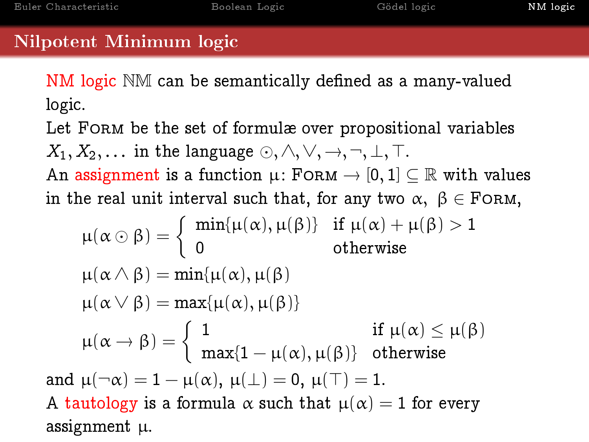NM logic NM can be semantically defined as a many-valued logic.

Let FORM be the set of formulæ over propositional variables  $X_1, X_2, \ldots$  in the language  $\odot, \wedge, \vee, \rightarrow, \neg, \perp, \top$ . An assignment is a function  $\mu$ : FORM  $\rightarrow$  [0, 1]  $\subset \mathbb{R}$  with values in the real unit interval such that, for any two  $\alpha, \beta \in$  FORM,

$$
\mu(\alpha \odot \beta) = \begin{cases} \min{\{\mu(\alpha), \mu(\beta)\}} & \text{if } \mu(\alpha) + \mu(\beta) > 1 \\ 0 & \text{otherwise} \end{cases}
$$
  

$$
\mu(\alpha \land \beta) = \min{\{\mu(\alpha), \mu(\beta)\}}
$$
  

$$
\mu(\alpha \lor \beta) = \max{\{\mu(\alpha), \mu(\beta)\}} \quad \text{if } \mu(\alpha) \le \mu(\beta)
$$
  

$$
\mu(\alpha \rightarrow \beta) = \begin{cases} 1 & \text{if } \mu(\alpha) \le \mu(\beta) \\ \max{1 - \mu(\alpha), \mu(\beta)\} & \text{otherwise} \end{cases}
$$
  
and  $\mu(\neg \alpha) = 1 - \mu(\alpha), \mu(\bot) = 0, \mu(\top) = 1$ .  
A tautology is a formula  $\alpha$  such that  $\mu(\alpha) = 1$  for every assignment  $\mu$ .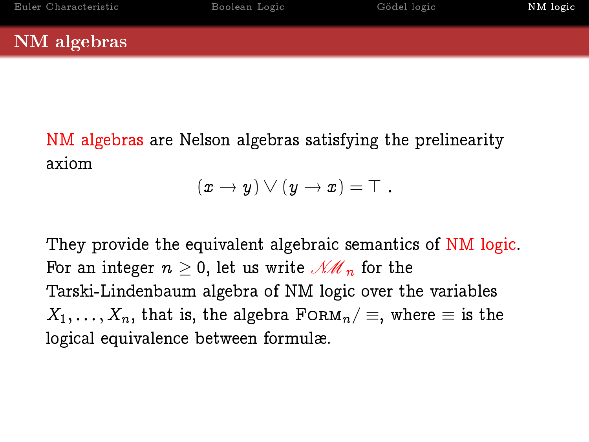## NM algebras

NM algebras are Nelson algebras satisfying the prelinearity axiom

$$
(x \to y) \vee (y \to x) = \top.
$$

They provide the equivalent algebraic semantics of NM logic. For an integer  $n \geq 0$ , let us write  $\mathcal{MM}_n$  for the Tarski-Lindenbaum algebra of NM logic over the variables  $X_1, \ldots, X_n$ , that is, the algebra  $F \circ R M_n / \equiv$ , where  $\equiv$  is the logical equivalence between formulæ.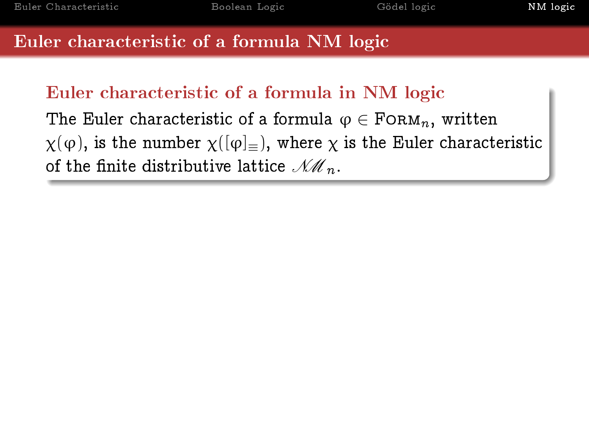## Euler characteristic of a formula in NM logic

The Euler characteristic of a formula  $\varphi \in \text{FoRM}_n$ , written  $\chi(\varphi)$ , is the number  $\chi([\varphi]_{\equiv})$ , where  $\chi$  is the Euler characteristic of the finite distributive lattice  $\mathcal{M}_{n}$ .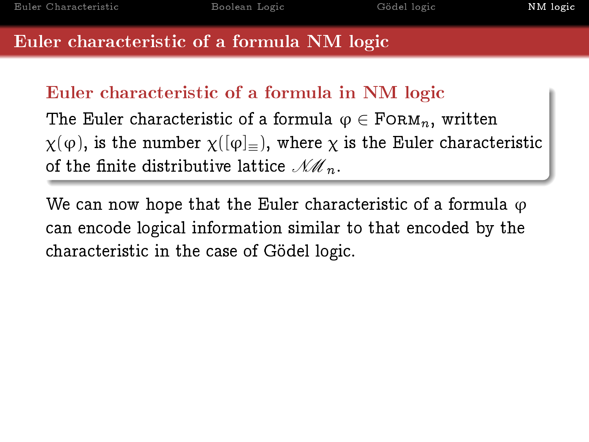## Euler characteristic of a formula in NM logic

The Euler characteristic of a formula  $\varphi \in \text{FoRM}_n$ , written  $\chi(\varphi)$ , is the number  $\chi([\varphi]_{\equiv})$ , where  $\chi$  is the Euler characteristic of the finite distributive lattice  $\mathcal{NM}_n$ .

We can now hope that the Euler characteristic of a formula  $\varphi$ can encode logical information similar to that encoded by the characteristic in the case of Gödel logic.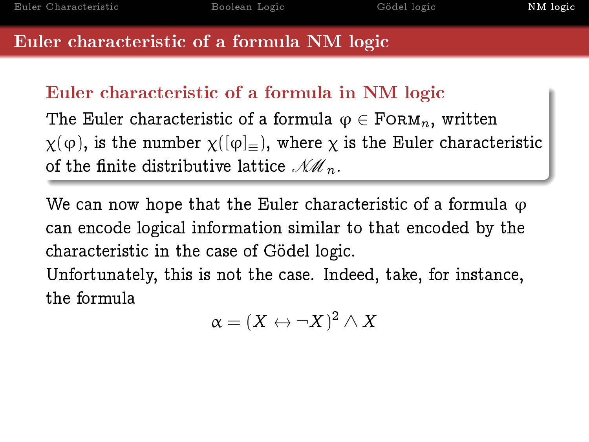## Euler characteristic of a formula in NM logic

The Euler characteristic of a formula  $\varphi \in \text{FoRM}_n$ , written  $\chi(\varphi)$ , is the number  $\chi([\varphi]_{\equiv})$ , where  $\chi$  is the Euler characteristic of the finite distributive lattice  $\mathcal{NM}_n$ .

We can now hope that the Euler characteristic of a formula  $\varphi$ can encode logical information similar to that encoded by the characteristic in the case of Gödel logic.

Unfortunately, this is not the case. Indeed, take, for instance, the formula

$$
\alpha=(X\leftrightarrow \neg X)^2\wedge X
$$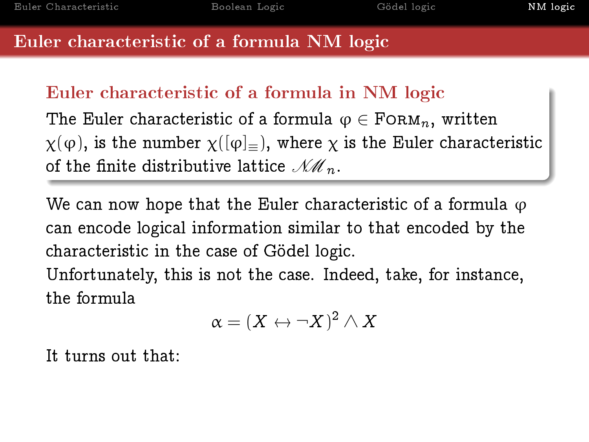## Euler characteristic of a formula in NM logic

The Euler characteristic of a formula  $\varphi \in \text{FoRM}_n$ , written  $\chi(\varphi)$ , is the number  $\chi([\varphi]_{\equiv})$ , where  $\chi$  is the Euler characteristic of the finite distributive lattice  $\mathcal{NM}_n$ .

We can now hope that the Euler characteristic of a formula  $\varphi$ can encode logical information similar to that encoded by the characteristic in the case of Gödel logic.

Unfortunately, this is not the case. Indeed, take, for instance, the formula

$$
\alpha=(X\leftrightarrow \neg X)^2\wedge X
$$

It turns out that: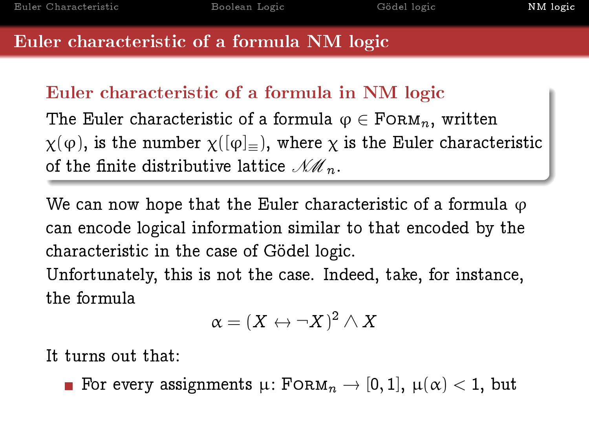## Euler characteristic of a formula in NM logic

The Euler characteristic of a formula  $\varphi \in \text{FoRM}_n$ , written  $\chi(\varphi)$ , is the number  $\chi([\varphi]_{\equiv})$ , where  $\chi$  is the Euler characteristic of the finite distributive lattice  $\mathcal{NM}_n$ .

We can now hope that the Euler characteristic of a formula  $\varphi$ can encode logical information similar to that encoded by the characteristic in the case of Gödel logic.

Unfortunately, this is not the case. Indeed, take, for instance, the formula

$$
\alpha=(X\leftrightarrow \neg X)^2\wedge X
$$

It turns out that:

**For every assignments**  $\mu$ **:** FORM<sub>n</sub>  $\rightarrow$  [0, 1],  $\mu(\alpha)$  < 1, but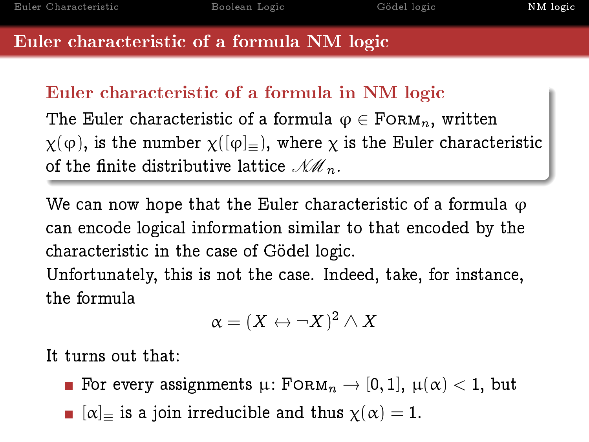## Euler characteristic of a formula in NM logic

The Euler characteristic of a formula  $\varphi \in \text{FoRM}_n$ , written  $\chi(\varphi)$ , is the number  $\chi([\varphi]_{\equiv})$ , where  $\chi$  is the Euler characteristic of the finite distributive lattice  $\mathcal{NM}_n$ .

We can now hope that the Euler characteristic of a formula  $\varphi$ can encode logical information similar to that encoded by the characteristic in the case of Gödel logic.

Unfortunately, this is not the case. Indeed, take, for instance, the formula

$$
\alpha=(X\leftrightarrow \neg X)^2\wedge X
$$

It turns out that:

- For every assignments  $\mu:$  FORM $_n \to [0,1]$ ,  $\mu(\alpha) < 1$ , but
- $[\alpha]_{\equiv}$  is a join irreducible and thus  $\chi(\alpha) = 1$ .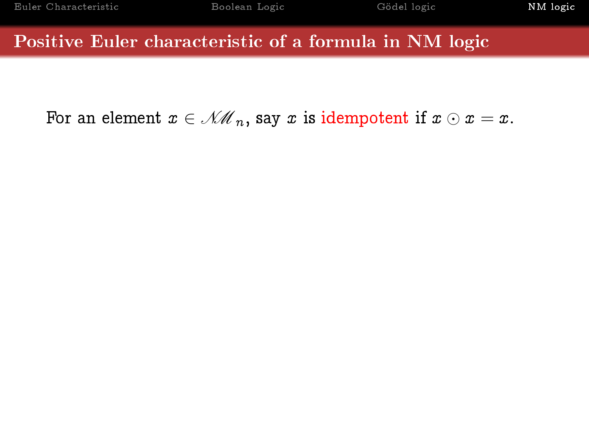### Positive Euler characteristic of a formula in NM logic

For an element  $x \in \mathcal{NM}_n$ , say x is idempotent if  $x \odot x = x$ .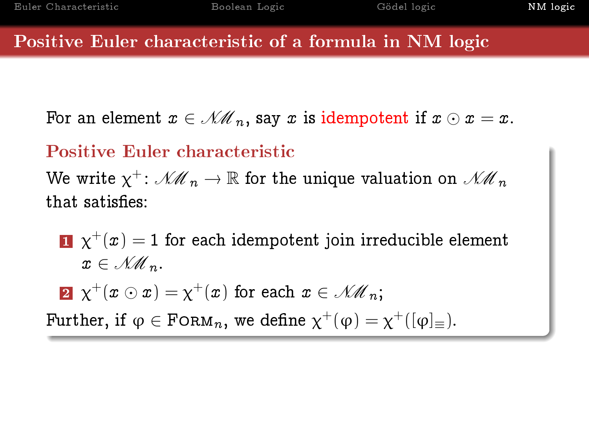### Positive Euler characteristic of a formula in NM logic

For an element  $x \in \mathcal{M}_n$ , say x is idempotent if  $x \odot x = x$ .

## Positive Euler characteristic

We write  $\chi^+$ :  $\mathcal{NM}_n \to \mathbb{R}$  for the unique valuation on  $\mathcal{NM}_n$ that satisfies:

 $\mathbf{1} \;\; \chi^+(x) = 1$  for each idempotent join irreducible element  $x \in \mathcal{NM}_{n}$ .

 $\mathbf{2}^-\chi^+(x\odot x)=\chi^+(x)$  for each  $x\in\mathscr{NM}_n;$ 

Further, if  $\varphi \in \text{FoRM}_n$ , we define  $\chi^+(\varphi) = \chi^+([\varphi]_\equiv)$ .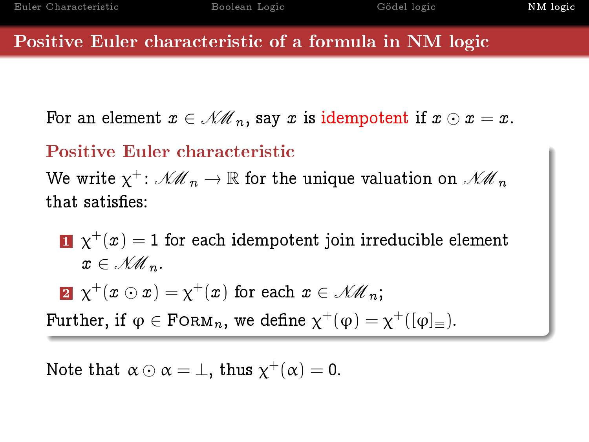### Positive Euler characteristic of a formula in NM logic

For an element  $x \in \mathcal{M}_n$ , say x is idempotent if  $x \odot x = x$ .

## Positive Euler characteristic

We write  $\chi^+$ :  $\mathcal{NM}_n \to \mathbb{R}$  for the unique valuation on  $\mathcal{NM}_n$ that satisfies:

 $\mathbf{1} \;\; \chi^+(x) = 1$  for each idempotent join irreducible element  $x \in \mathcal{NM}_{n}$ .

 $\mathbf{2}^-\chi^+(x\odot x)=\chi^+(x)$  for each  $x\in\mathscr{NM}_n;$ 

Further, if  $\varphi \in \text{FoRM}_n$ , we define  $\chi^+(\varphi) = \chi^+([\varphi]_\equiv)$ .

Note that  $\alpha \odot \alpha = \bot$ , thus  $\chi^+(\alpha) = 0$ .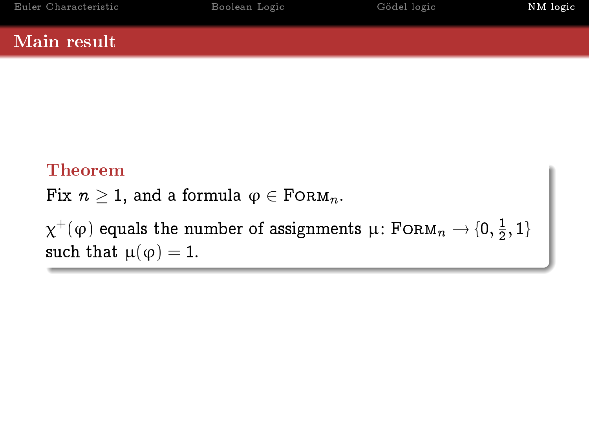## Theorem

Fix  $n > 1$ , and a formula  $\varphi \in \text{FoRM}_n$ .

 $\chi^+(\varphi)$  equals the number of assignments  $\mu\colon$  FORM $_n\to$   $\{0,\frac{1}{2}\}$  $\frac{1}{2}$ , 1} such that  $\mu(\varphi) = 1$ .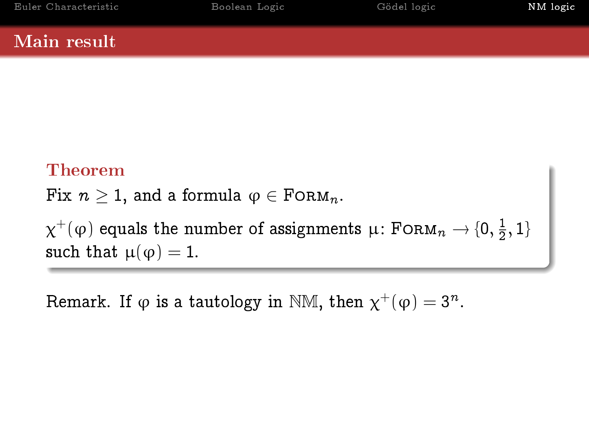## Theorem

Fix  $n \geq 1$ , and a formula  $\varphi \in \text{FoRM}_n$ .

 $\chi^+(\varphi)$  equals the number of assignments  $\mu\colon$  FORM $_n\to$   $\{0,\frac{1}{2}\}$  $\frac{1}{2}$ , 1} such that  $\mu(\varphi) = 1$ .

Remark. If  $\varphi$  is a tautology in NM, then  $\chi^+(\varphi)=3^n$ .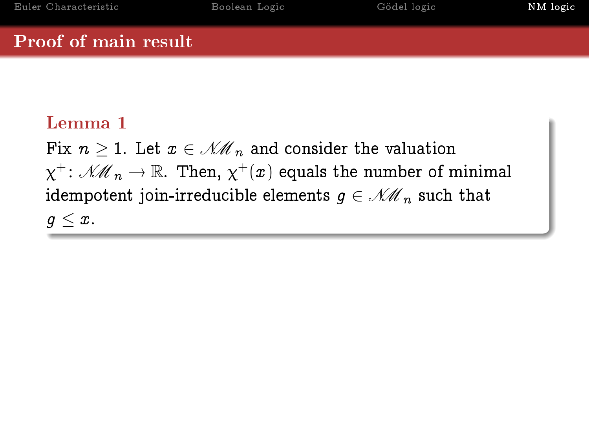### Proof of main result

## Lemma 1

Fix  $n \geq 1$ . Let  $x \in \mathcal{NM}_n$  and consider the valuation  $\chi^+$ :  $\mathcal{MM}_n \to \mathbb{R}$ . Then,  $\chi^+(x)$  equals the number of minimal idempotent join-irreducible elements  $q \in \mathcal{NM}_n$  such that  $q < x$ .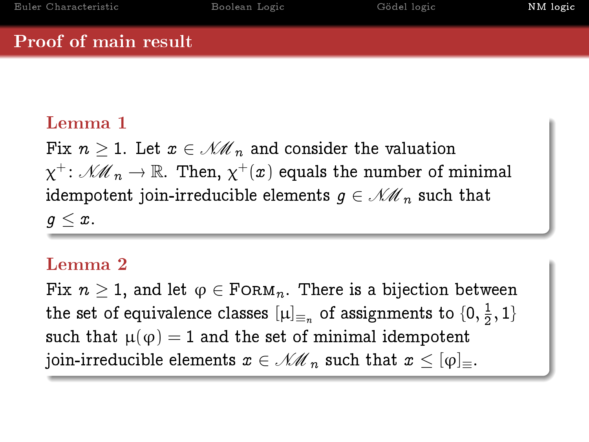### Proof of main result

## Lemma 1

Fix  $n \geq 1$ . Let  $x \in \mathcal{NM}_n$  and consider the valuation  $\chi^+$ :  $\mathcal{MM}_n \to \mathbb{R}$ . Then,  $\chi^+(x)$  equals the number of minimal idempotent join-irreducible elements  $q \in \mathcal{NM}_n$  such that  $q < x$ .

## Lemma 2

Fix  $n \geq 1$ , and let  $\varphi \in \text{FoRM}_n$ . There is a bijection between the set of equivalence classes  $\left[\mu\right]_{\equiv_n}$  of assignments to  $\{0,\frac{1}{2}\}$  $\frac{1}{2}, 1\}$ such that  $\mu(\varphi) = 1$  and the set of minimal idempotent join-irreducible elements  $x \in \mathcal{NM}_n$  such that  $x \leq [\varphi]_{\equiv}$ .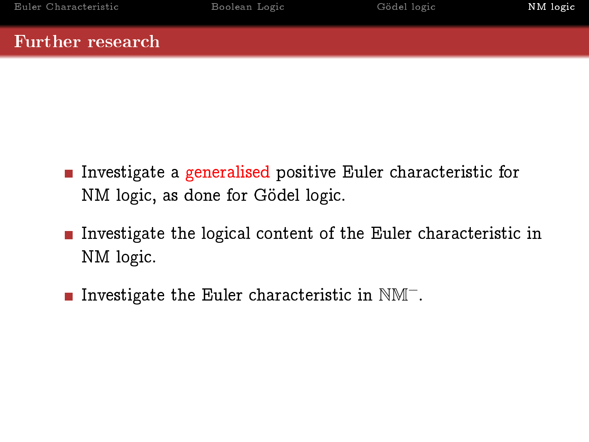### Further research

- **Investigate a generalised positive Euler characteristic for** NM logic, as done for Gödel logic.
- Investigate the logical content of the Euler characteristic in NM logic.
- **Investigate the Euler characteristic in NM<sup>-</sup>.**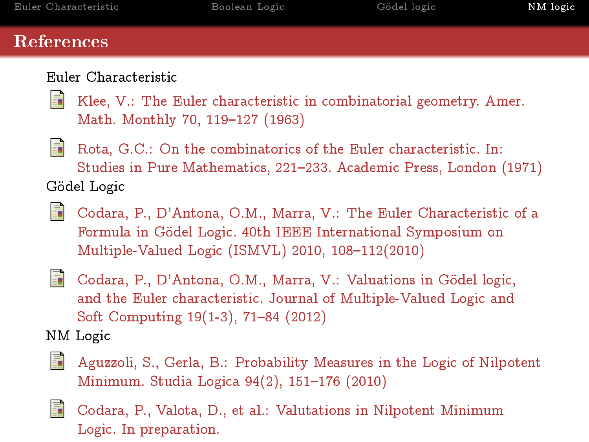## References

#### Euler Characteristic





Rota, G.C.: On the combinatorics of the Euler characteristic. In: Studies in Pure Mathematics, 221233. Academic Press, London (1971) Gödel Logic

Codara, P., D'Antona, O.M., Marra, V.: The Euler Characteristic of a Formula in Gödel Logic. 40th IEEE International Symposium on Multiple-Valued Logic (ISMVL) 2010,  $108-112(2010)$ 



Codara, P., D'Antona, O.M., Marra, V.: Valuations in Gödel logic, and the Euler characteristic. Journal of Multiple-Valued Logic and Soft Computing 19(1-3), 71-84 (2012)

NM Logic

Aguzzoli, S., Gerla, B.: Probability Measures in the Logic of Nilpotent Minimum. Studia Logica 94(2), 151-176 (2010)



Codara, P., Valota, D., et al.: Valutations in Nilpotent Minimum Logic. In preparation.